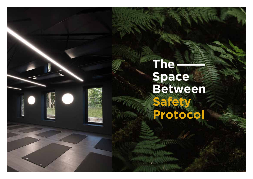# The<br>Space<br>Between<br>Safety **Protocol**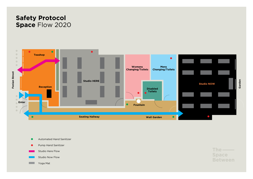# **Safety Protocol Space** Flow 2020



Automated Hand Sanitizer  $\bullet$ Pump Hand Sanitizer ∙ Studio Here Flow Studio Now Flow Yoga Mat

 $The *__*$ **Space Between**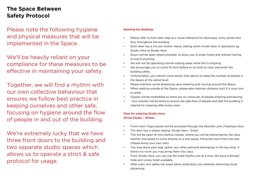## **The Space Between Safety Protocol**

Please note the following hygiene and physical measures that will be implemented in the Space.

We'll be heavily reliant on your compliance for these measures to be effective in maintaining your safety.

Together, we will find a rhythm with our own collective behaviour that ensures we follow best practice in keeping ourselves and other safe, focusing on hygiene around the flow of people in and out of the building.

We're extremely lucky that we have three front doors to the building and two separate studio spaces which allows us to operate a strict & safe protocol for usage.

### **Entering the Building:**

- Please refer to floor plan map as a visual reference for doorways, entry points and flow throughout the building
- Each door has a circular sticker clearly stating which studio door it represents eg Studio Here or Studio Now
- Doors will be open where possible, to allow you to enter freely and without having to touch anything.
- We will not be operating normal waiting areas while this is ongoing.
- We encourage you to come 10 mins before or on time to class and enter the building safely.
- Unfortunately, you cannot come earlier than above to keep the number of people in the Space at the safest level.
- Please maintain social distancing upon entering and moving around the Space.
- When waiting outside of the Space, please also maintain distance until it is your turn to enter
- Classes will be timetabled so there are no crossover of people entering and leaving.
- Your teacher will be there to ensure the safe flow of people and that the building is cleared for cleaning after every class.

### **Flow for entering Studio Here: (Front Studio – White)**

- Front room Yoga classes will be accessed through the Denzille Lane (Teashop) door
- The door has a sticker stating 'Studio Here Enter'
- This will be open 10 mins before classes, where you will be welcomed by the class teacher and asked to come directly to a mat space, filling the room from the rear. (Please bring your own mat)
- You may leave your bag, jacket, any other personal belongings in the tea-shop. If there's no room you may bring them into class.
- From Studio Here, you can use the toilet facility one at a time. We have a female/ male and unisex toilet available.
- After class, exit safely the exact same route/door you entered, observing social distancing.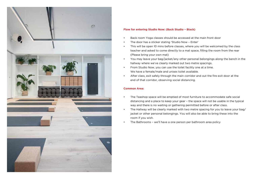

### **Flow for entering Studio Now: (Back Studio – Black)**

- Back room Yoga classes should be accessed at the main front door
- The door has a sticker stating 'Studio Now Enter'
- This will be open 10 mins before classes, where you will be welcomed by the class teacher and asked to come directly to a mat space, filling the room from the rear (Please bring your own mat)
- You may leave your bag/jacket/any other personal belongings along the bench in the hallway where we've clearly marked out two metre spacings.
- From Studio Now, you can use the toilet facility one at a time. We have a female/male and unisex toilet available.
- After class, exit safely through the main corridor and out the fire exit door at the end of that corridor, observing social distancing.

### **Common Area:**

- The Teashop space will be emptied of most furniture to accommodate safe social distancing and a place to keep your gear – the space will not be usable in the typical way and there is no waiting or gathering permitted before or after class.
- The Hallway will be clearly marked with two metre spacing for you to leave your bag/ jacket or other personal belongings. You will also be able to bring these into the room if you wish.
- The Bathrooms we'll have a one person per bathroom area policy